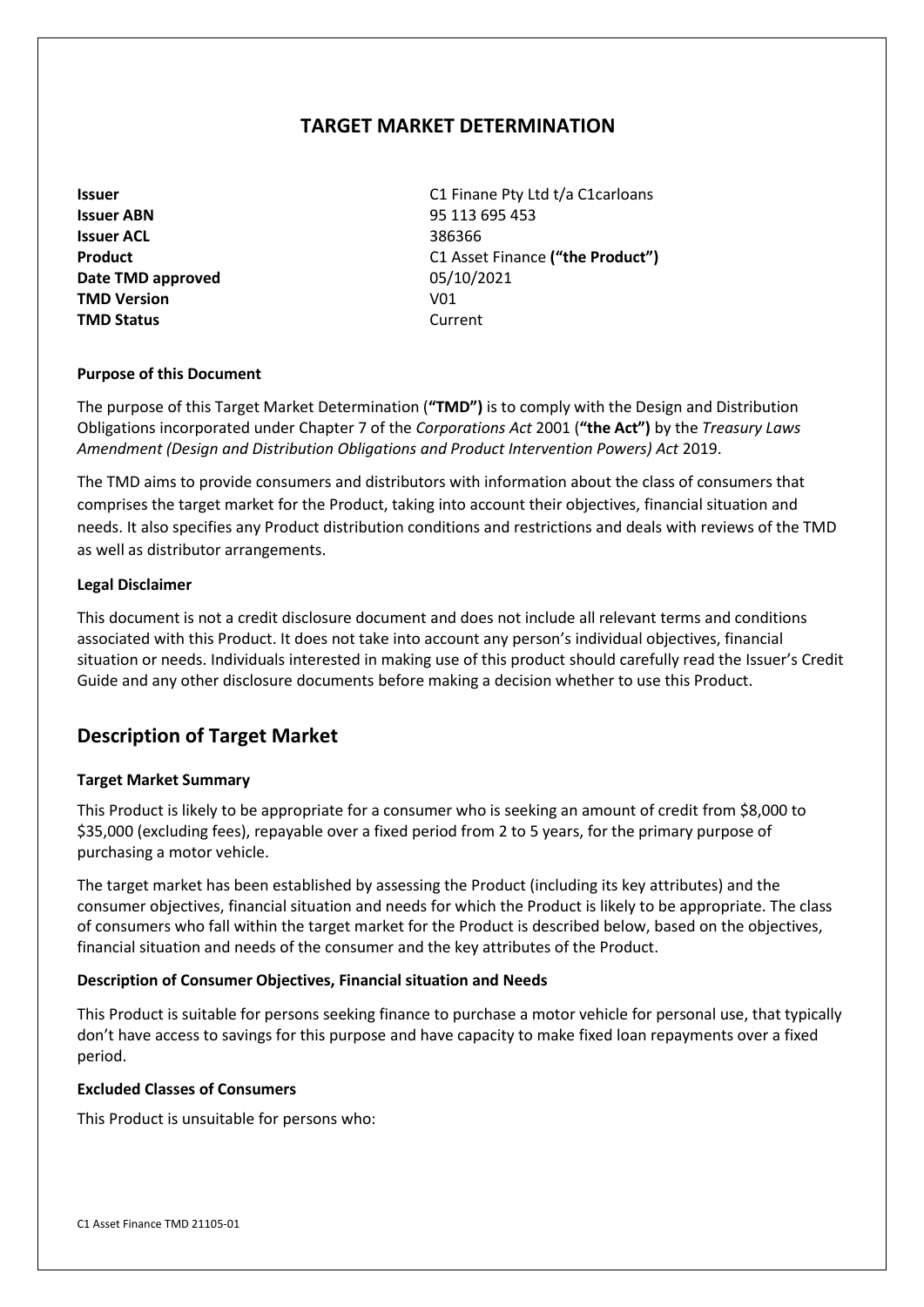# **TARGET MARKET DETERMINATION**

**Issuer ABN** 95 113 695 453 **Issuer ACL** 386366 **Date TMD approved** 05/10/2021 **TMD Version V01 TMD Status** Current

**Issuer Issuer Issuer C1 Finane Pty Ltd t/a C1carloans Product** C1 Asset Finance **("the Product")**

### **Purpose of this Document**

The purpose of this Target Market Determination (**"TMD")** is to comply with the Design and Distribution Obligations incorporated under Chapter 7 of the *Corporations Act* 2001 (**"the Act")** by the *Treasury Laws Amendment (Design and Distribution Obligations and Product Intervention Powers) Act* 2019.

The TMD aims to provide consumers and distributors with information about the class of consumers that comprises the target market for the Product, taking into account their objectives, financial situation and needs. It also specifies any Product distribution conditions and restrictions and deals with reviews of the TMD as well as distributor arrangements.

### **Legal Disclaimer**

This document is not a credit disclosure document and does not include all relevant terms and conditions associated with this Product. It does not take into account any person's individual objectives, financial situation or needs. Individuals interested in making use of this product should carefully read the Issuer's Credit Guide and any other disclosure documents before making a decision whether to use this Product.

# **Description of Target Market**

### **Target Market Summary**

This Product is likely to be appropriate for a consumer who is seeking an amount of credit from \$8,000 to \$35,000 (excluding fees), repayable over a fixed period from 2 to 5 years, for the primary purpose of purchasing a motor vehicle.

The target market has been established by assessing the Product (including its key attributes) and the consumer objectives, financial situation and needs for which the Product is likely to be appropriate. The class of consumers who fall within the target market for the Product is described below, based on the objectives, financial situation and needs of the consumer and the key attributes of the Product.

### **Description of Consumer Objectives, Financial situation and Needs**

This Product is suitable for persons seeking finance to purchase a motor vehicle for personal use, that typically don't have access to savings for this purpose and have capacity to make fixed loan repayments over a fixed period.

### **Excluded Classes of Consumers**

This Product is unsuitable for persons who: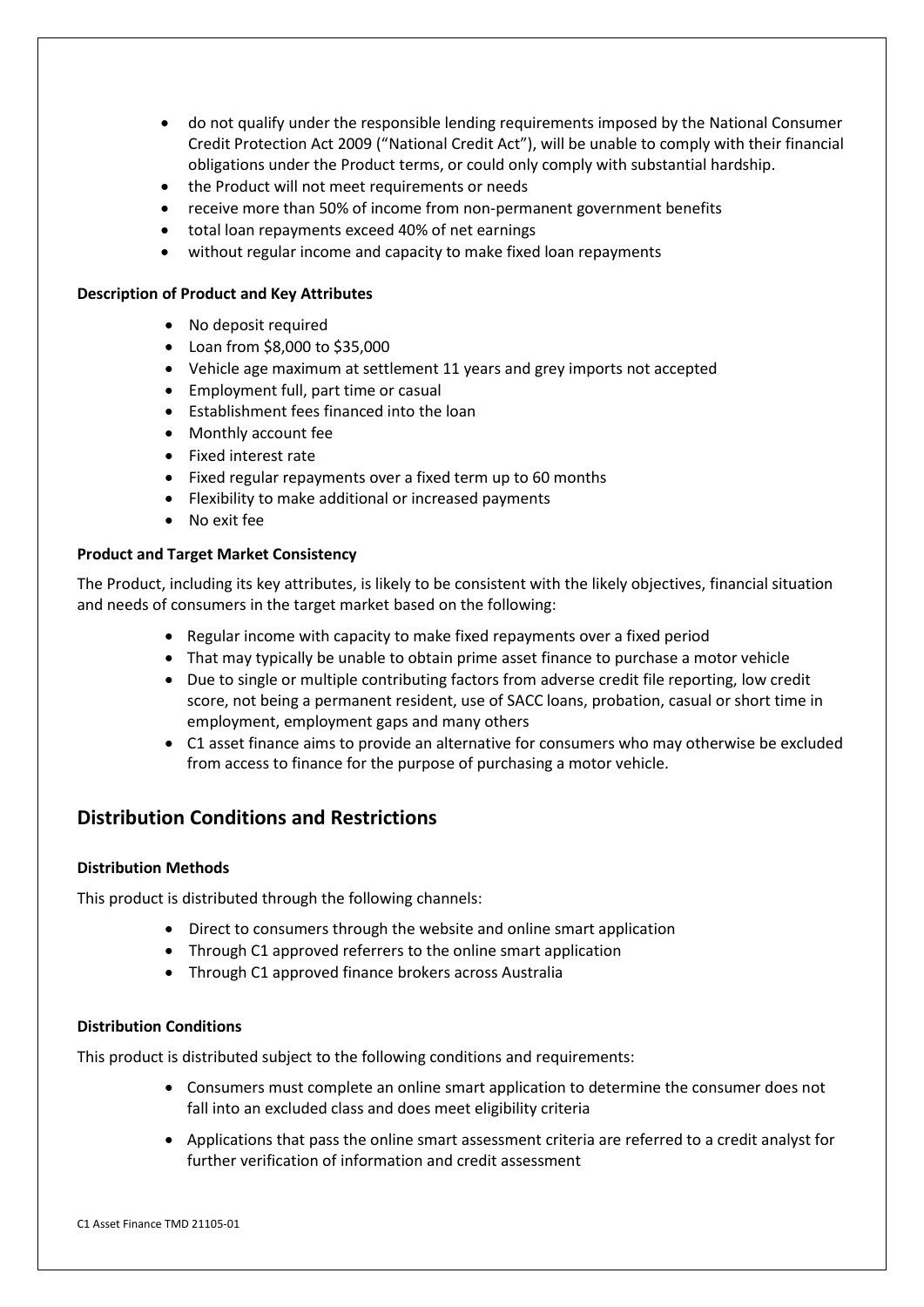- do not qualify under the responsible lending requirements imposed by the National Consumer Credit Protection Act 2009 ("National Credit Act"), will be unable to comply with their financial obligations under the Product terms, or could only comply with substantial hardship.
- the Product will not meet requirements or needs
- receive more than 50% of income from non-permanent government benefits
- total loan repayments exceed 40% of net earnings
- without regular income and capacity to make fixed loan repayments

#### **Description of Product and Key Attributes**

- No deposit required
- Loan from \$8,000 to \$35,000
- Vehicle age maximum at settlement 11 years and grey imports not accepted
- Employment full, part time or casual
- Establishment fees financed into the loan
- Monthly account fee
- Fixed interest rate
- Fixed regular repayments over a fixed term up to 60 months
- Flexibility to make additional or increased payments
- No exit fee

### **Product and Target Market Consistency**

The Product, including its key attributes, is likely to be consistent with the likely objectives, financial situation and needs of consumers in the target market based on the following:

- Regular income with capacity to make fixed repayments over a fixed period
- That may typically be unable to obtain prime asset finance to purchase a motor vehicle
- Due to single or multiple contributing factors from adverse credit file reporting, low credit score, not being a permanent resident, use of SACC loans, probation, casual or short time in employment, employment gaps and many others
- C1 asset finance aims to provide an alternative for consumers who may otherwise be excluded from access to finance for the purpose of purchasing a motor vehicle.

# **Distribution Conditions and Restrictions**

### **Distribution Methods**

This product is distributed through the following channels:

- Direct to consumers through the website and online smart application
- Through C1 approved referrers to the online smart application
- Through C1 approved finance brokers across Australia

### **Distribution Conditions**

This product is distributed subject to the following conditions and requirements:

- Consumers must complete an online smart application to determine the consumer does not fall into an excluded class and does meet eligibility criteria
- Applications that pass the online smart assessment criteria are referred to a credit analyst for further verification of information and credit assessment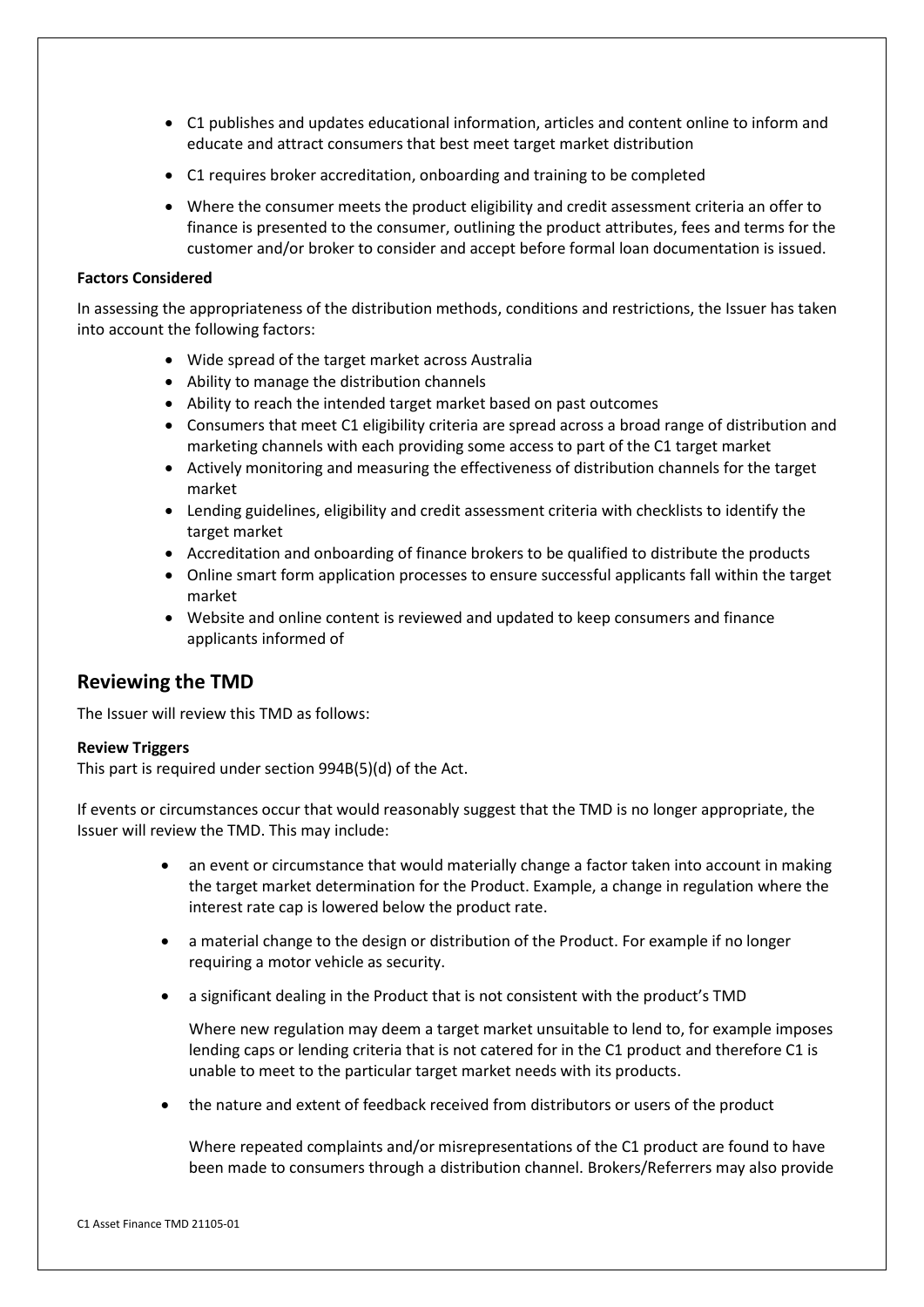- C1 publishes and updates educational information, articles and content online to inform and educate and attract consumers that best meet target market distribution
- C1 requires broker accreditation, onboarding and training to be completed
- Where the consumer meets the product eligibility and credit assessment criteria an offer to finance is presented to the consumer, outlining the product attributes, fees and terms for the customer and/or broker to consider and accept before formal loan documentation is issued.

#### **Factors Considered**

In assessing the appropriateness of the distribution methods, conditions and restrictions, the Issuer has taken into account the following factors:

- Wide spread of the target market across Australia
- Ability to manage the distribution channels
- Ability to reach the intended target market based on past outcomes
- Consumers that meet C1 eligibility criteria are spread across a broad range of distribution and marketing channels with each providing some access to part of the C1 target market
- Actively monitoring and measuring the effectiveness of distribution channels for the target market
- Lending guidelines, eligibility and credit assessment criteria with checklists to identify the target market
- Accreditation and onboarding of finance brokers to be qualified to distribute the products
- Online smart form application processes to ensure successful applicants fall within the target market
- Website and online content is reviewed and updated to keep consumers and finance applicants informed of

# **Reviewing the TMD**

The Issuer will review this TMD as follows:

### **Review Triggers**

This part is required under section 994B(5)(d) of the Act.

If events or circumstances occur that would reasonably suggest that the TMD is no longer appropriate, the Issuer will review the TMD. This may include:

- an event or circumstance that would materially change a factor taken into account in making the target market determination for the Product. Example, a change in regulation where the interest rate cap is lowered below the product rate.
- a material change to the design or distribution of the Product. For example if no longer requiring a motor vehicle as security.
- a significant dealing in the Product that is not consistent with the product's TMD

Where new regulation may deem a target market unsuitable to lend to, for example imposes lending caps or lending criteria that is not catered for in the C1 product and therefore C1 is unable to meet to the particular target market needs with its products.

• the nature and extent of feedback received from distributors or users of the product

Where repeated complaints and/or misrepresentations of the C1 product are found to have been made to consumers through a distribution channel. Brokers/Referrers may also provide